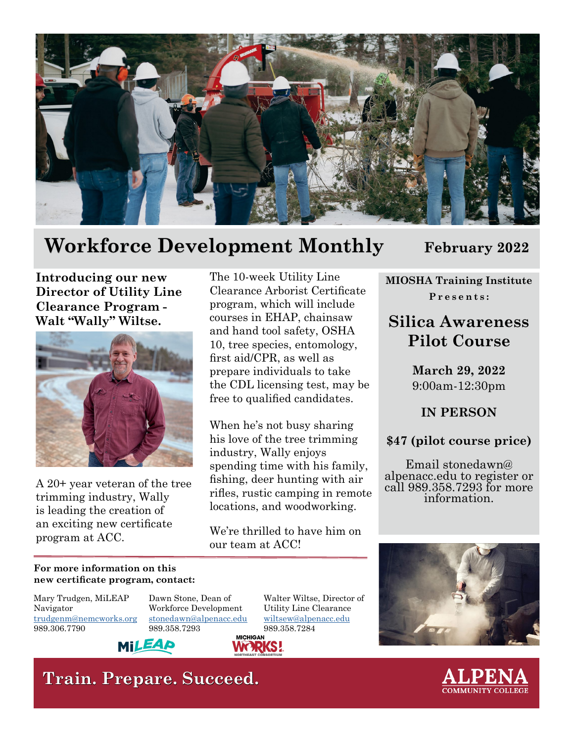

## **Workforce Development Monthly February 2022**

**Introducing our new Director of Utility Line Clearance Program - Walt "Wally" Wiltse.**



trimming industry, Wally<br>is leading the creation of locations, and woodworking. an exciting new certificate<br>
We're thrilled to have him on<br>
our team at ACC!

The 10-week Utility Line Clearance Arborist Certificate program, which will include courses in EHAP, chainsaw and hand tool safety, OSHA 10, tree species, entomology, first aid/CPR, as well as prepare individuals to take the CDL licensing test, may be free to qualified candidates.

When he's not busy sharing his love of the tree trimming industry, Wally enjoys spending time with his family, A 20+ year veteran of the tree fishing, deer hunting with air trimming industry, Wally rifles, rustic camping in remote

**WORKS!** 

**MIOSHA Training Institute**

**Presents:**

## **Silica Awareness Pilot Course**

**March 29, 2022** 9:00am-12:30pm

**IN PERSON**

**\$47 (pilot course price)**

Email stonedawn@ alpenacc.edu to register or call 989.358.7293 for more information.

#### **For more information on this new certificate program, contact:**

Mary Trudgen, MiLEAP Navigator [trudgenm@nemcworks.org](mailto:trudgenm%40nemcworks.org%20?subject=) 989.306.7790

Dawn Stone, Dean of Workforce Development [stonedawn@alpenacc.edu](mailto:stonedawn%40alpenacc.edu%20?subject=) 989.358.7293

Walter Wiltse, Director of Utility Line Clearance [wiltsew@alpenacc.edu](mailto:wiltsew%40alpenacc.edu%20?subject=) 989.358.7284





MILEAD